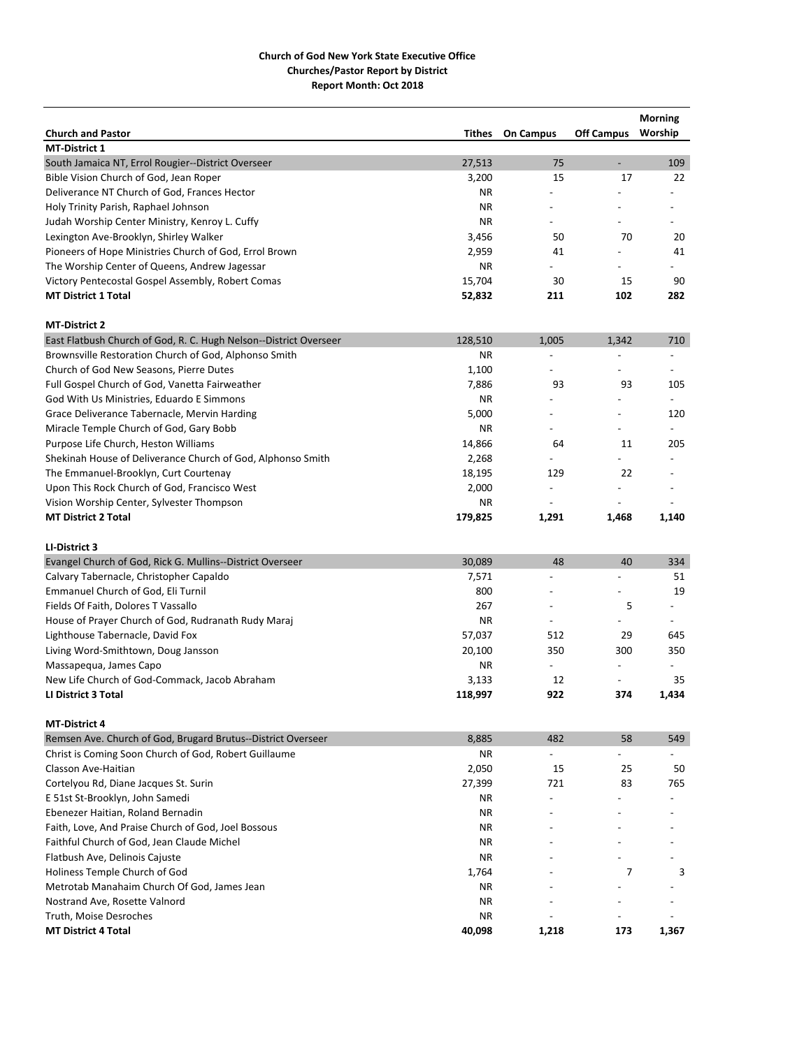|                                                                   |               |                          |                          | <b>Morning</b>           |
|-------------------------------------------------------------------|---------------|--------------------------|--------------------------|--------------------------|
| <b>Church and Pastor</b>                                          | <b>Tithes</b> | <b>On Campus</b>         | <b>Off Campus</b>        | Worship                  |
| <b>MT-District 1</b>                                              |               |                          |                          |                          |
| South Jamaica NT, Errol Rougier--District Overseer                | 27,513        | 75                       | $\overline{\phantom{a}}$ | 109                      |
| Bible Vision Church of God, Jean Roper                            | 3,200         | 15                       | 17                       | 22                       |
| Deliverance NT Church of God, Frances Hector                      | ΝR            |                          |                          |                          |
| Holy Trinity Parish, Raphael Johnson                              | ΝR            |                          |                          |                          |
| Judah Worship Center Ministry, Kenroy L. Cuffy                    | <b>NR</b>     |                          |                          |                          |
| Lexington Ave-Brooklyn, Shirley Walker                            | 3,456         | 50                       | 70                       | 20                       |
| Pioneers of Hope Ministries Church of God, Errol Brown            | 2,959         | 41                       |                          | 41                       |
| The Worship Center of Queens, Andrew Jagessar                     | ΝR            |                          |                          |                          |
| Victory Pentecostal Gospel Assembly, Robert Comas                 | 15,704        | 30                       | 15                       | 90                       |
| <b>MT District 1 Total</b>                                        | 52,832        | 211                      | 102                      | 282                      |
| <b>MT-District 2</b>                                              |               |                          |                          |                          |
| East Flatbush Church of God, R. C. Hugh Nelson--District Overseer | 128,510       | 1,005                    | 1,342                    | 710                      |
| Brownsville Restoration Church of God, Alphonso Smith             | ΝR            |                          |                          |                          |
| Church of God New Seasons, Pierre Dutes                           | 1,100         |                          |                          |                          |
| Full Gospel Church of God, Vanetta Fairweather                    | 7,886         | 93                       | 93                       | 105                      |
| God With Us Ministries, Eduardo E Simmons                         | ΝR            |                          | $\overline{a}$           | $\overline{\phantom{a}}$ |
| Grace Deliverance Tabernacle, Mervin Harding                      | 5,000         |                          | $\overline{a}$           | 120                      |
| Miracle Temple Church of God, Gary Bobb                           | ΝR            |                          |                          |                          |
| Purpose Life Church, Heston Williams                              | 14,866        | 64                       | 11                       | 205                      |
| Shekinah House of Deliverance Church of God, Alphonso Smith       | 2,268         |                          |                          |                          |
| The Emmanuel-Brooklyn, Curt Courtenay                             | 18,195        | 129                      | 22                       |                          |
| Upon This Rock Church of God, Francisco West                      | 2,000         |                          |                          |                          |
| Vision Worship Center, Sylvester Thompson                         | ΝR            |                          |                          |                          |
| <b>MT District 2 Total</b>                                        | 179,825       | 1,291                    | 1,468                    | 1,140                    |
|                                                                   |               |                          |                          |                          |
| LI-District 3                                                     |               |                          |                          |                          |
| Evangel Church of God, Rick G. Mullins--District Overseer         | 30,089        | 48                       | 40                       | 334                      |
| Calvary Tabernacle, Christopher Capaldo                           | 7,571         |                          |                          | 51                       |
| Emmanuel Church of God, Eli Turnil                                | 800           |                          |                          | 19                       |
| Fields Of Faith, Dolores T Vassallo                               | 267           | $\overline{a}$           | 5                        | $\overline{\phantom{a}}$ |
| House of Prayer Church of God, Rudranath Rudy Maraj               | ΝR            |                          |                          |                          |
| Lighthouse Tabernacle, David Fox                                  | 57,037        | 512                      | 29                       | 645                      |
| Living Word-Smithtown, Doug Jansson                               | 20,100        | 350                      | 300                      | 350                      |
| Massapequa, James Capo                                            | ΝR            | $\overline{\phantom{a}}$ | $\overline{\phantom{a}}$ |                          |
| New Life Church of God-Commack, Jacob Abraham                     | 3,133         | 12                       | $\overline{\phantom{a}}$ | 35                       |
| <b>LI District 3 Total</b>                                        | 118,997       | 922                      | 374                      | 1,434                    |
| <b>MT-District 4</b>                                              |               |                          |                          |                          |
| Remsen Ave. Church of God, Brugard Brutus--District Overseer      | 8,885         | 482                      | 58                       | 549                      |
| Christ is Coming Soon Church of God, Robert Guillaume             | ΝR            | $\overline{\phantom{a}}$ | $\overline{\phantom{a}}$ |                          |
| Classon Ave-Haitian                                               | 2,050         | 15                       | 25                       | 50                       |
| Cortelyou Rd, Diane Jacques St. Surin                             | 27,399        | 721                      | 83                       | 765                      |
| E 51st St-Brooklyn, John Samedi                                   | ΝR            |                          |                          |                          |
| Ebenezer Haitian, Roland Bernadin                                 | ΝR            |                          |                          |                          |
| Faith, Love, And Praise Church of God, Joel Bossous               | ΝR            |                          |                          |                          |
| Faithful Church of God, Jean Claude Michel                        | ΝR            |                          |                          |                          |
| Flatbush Ave, Delinois Cajuste                                    | ΝR            |                          |                          |                          |
| Holiness Temple Church of God                                     | 1,764         |                          | 7                        | 3                        |
| Metrotab Manahaim Church Of God, James Jean                       | ΝR            |                          |                          |                          |
| Nostrand Ave, Rosette Valnord                                     | ΝR            |                          |                          |                          |
| Truth, Moise Desroches                                            | ΝR            |                          |                          |                          |
| <b>MT District 4 Total</b>                                        | 40,098        | 1,218                    | 173                      | 1,367                    |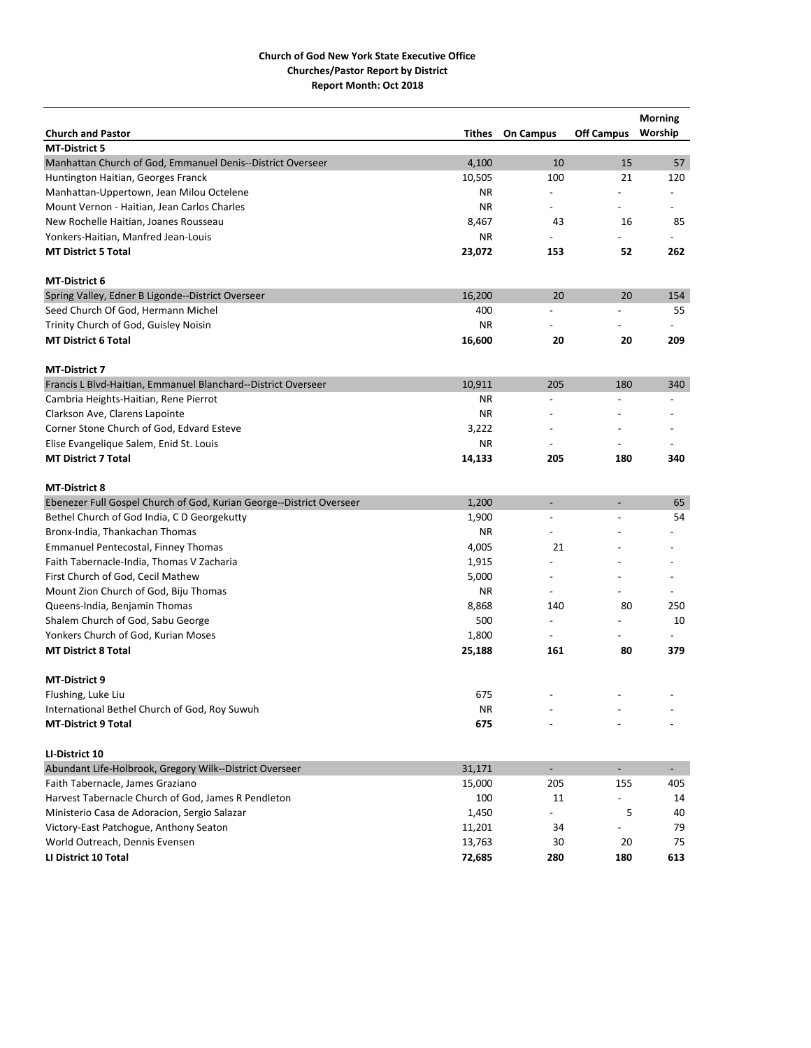|                                                                      |        |                          |                          | <b>Morning</b>           |
|----------------------------------------------------------------------|--------|--------------------------|--------------------------|--------------------------|
| <b>Church and Pastor</b>                                             | Tithes | <b>On Campus</b>         | <b>Off Campus</b>        | Worship                  |
| <b>MT-District 5</b>                                                 |        |                          |                          |                          |
| Manhattan Church of God, Emmanuel Denis--District Overseer           | 4,100  | 10                       | 15                       | 57                       |
| Huntington Haitian, Georges Franck                                   | 10,505 | 100                      | 21                       | 120                      |
| Manhattan-Uppertown, Jean Milou Octelene                             | ΝR     |                          |                          |                          |
| Mount Vernon - Haitian, Jean Carlos Charles                          | ΝR     |                          |                          |                          |
| New Rochelle Haitian, Joanes Rousseau                                | 8,467  | 43                       | 16                       | 85                       |
| Yonkers-Haitian, Manfred Jean-Louis                                  | ΝR     |                          |                          |                          |
| <b>MT District 5 Total</b>                                           | 23,072 | 153                      | 52                       | 262                      |
| <b>MT-District 6</b>                                                 |        |                          |                          |                          |
| Spring Valley, Edner B Ligonde--District Overseer                    | 16,200 | 20                       | 20                       | 154                      |
| Seed Church Of God, Hermann Michel                                   | 400    |                          |                          | 55                       |
| Trinity Church of God, Guisley Noisin                                | ΝR     |                          |                          |                          |
| <b>MT District 6 Total</b>                                           | 16,600 | 20                       | 20                       | 209                      |
| <b>MT-District 7</b>                                                 |        |                          |                          |                          |
| Francis L Blvd-Haitian, Emmanuel Blanchard--District Overseer        | 10,911 | 205                      | 180                      | 340                      |
| Cambria Heights-Haitian, Rene Pierrot                                | ΝR     |                          |                          |                          |
| Clarkson Ave, Clarens Lapointe                                       | ΝR     |                          |                          |                          |
| Corner Stone Church of God, Edvard Esteve                            | 3,222  |                          |                          |                          |
| Elise Evangelique Salem, Enid St. Louis                              | ΝR     |                          |                          |                          |
| <b>MT District 7 Total</b>                                           | 14,133 | 205                      | 180                      | 340                      |
| <b>MT-District 8</b>                                                 |        |                          |                          |                          |
| Ebenezer Full Gospel Church of God, Kurian George--District Overseer | 1,200  | $\overline{\phantom{a}}$ | $\overline{a}$           | 65                       |
| Bethel Church of God India, C D Georgekutty                          | 1,900  | $\overline{a}$           |                          | 54                       |
| Bronx-India, Thankachan Thomas                                       | ΝR     |                          |                          |                          |
| Emmanuel Pentecostal, Finney Thomas                                  | 4,005  | 21                       |                          |                          |
| Faith Tabernacle-India, Thomas V Zacharia                            | 1,915  |                          |                          |                          |
| First Church of God, Cecil Mathew                                    | 5,000  |                          |                          |                          |
| Mount Zion Church of God, Biju Thomas                                | ΝR     | $\overline{a}$           |                          |                          |
| Queens-India, Benjamin Thomas                                        | 8,868  | 140                      | 80                       | 250                      |
| Shalem Church of God, Sabu George                                    | 500    |                          |                          | 10                       |
| Yonkers Church of God, Kurian Moses                                  | 1,800  |                          |                          |                          |
| <b>MT District 8 Total</b>                                           | 25,188 | 161                      | 80                       | 379                      |
| <b>MT-District 9</b>                                                 |        |                          |                          |                          |
| Flushing, Luke Liu                                                   | 675    |                          |                          |                          |
| International Bethel Church of God, Roy Suwuh                        | ΝR     |                          |                          |                          |
| <b>MT-District 9 Total</b>                                           | 675    |                          |                          |                          |
| LI-District 10                                                       |        |                          |                          |                          |
| Abundant Life-Holbrook, Gregory Wilk--District Overseer              | 31,171 | $\overline{\phantom{a}}$ | $\overline{\phantom{0}}$ | $\overline{\phantom{0}}$ |
| Faith Tabernacle, James Graziano                                     | 15,000 | 205                      | 155                      | 405                      |
| Harvest Tabernacle Church of God, James R Pendleton                  | 100    | 11                       |                          | 14                       |
| Ministerio Casa de Adoracion, Sergio Salazar                         | 1,450  |                          | 5                        | 40                       |
| Victory-East Patchogue, Anthony Seaton                               | 11,201 | 34                       |                          | 79                       |
| World Outreach, Dennis Evensen                                       | 13,763 | 30                       | 20                       | 75                       |
| LI District 10 Total                                                 | 72,685 | 280                      | 180                      | 613                      |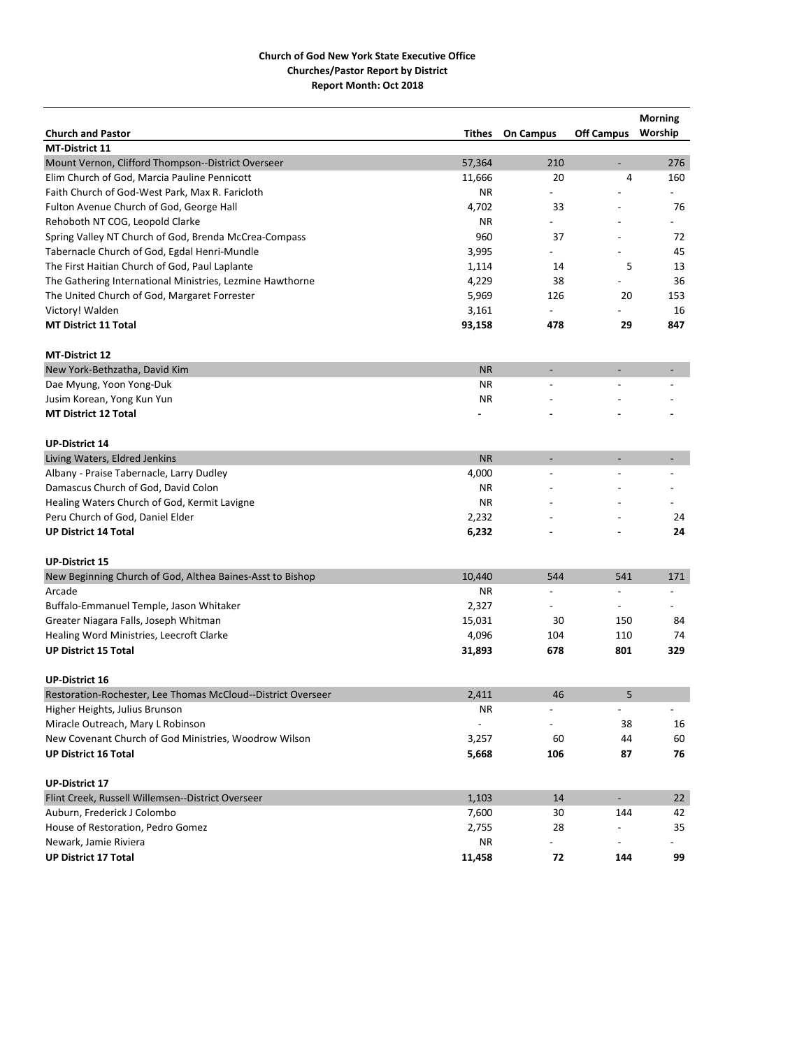|                                                              |           |                              |                          | <b>Morning</b>           |
|--------------------------------------------------------------|-----------|------------------------------|--------------------------|--------------------------|
| <b>Church and Pastor</b>                                     | Tithes    | <b>On Campus</b>             | <b>Off Campus</b>        | Worship                  |
| <b>MT-District 11</b>                                        |           |                              |                          |                          |
| Mount Vernon, Clifford Thompson--District Overseer           | 57,364    | 210                          | $\overline{\phantom{a}}$ | 276                      |
| Elim Church of God, Marcia Pauline Pennicott                 | 11,666    | 20                           | 4                        | 160                      |
| Faith Church of God-West Park, Max R. Faricloth              | ΝR        |                              |                          |                          |
| Fulton Avenue Church of God, George Hall                     | 4,702     | 33                           |                          | 76                       |
| Rehoboth NT COG, Leopold Clarke                              | ΝR        |                              |                          |                          |
| Spring Valley NT Church of God, Brenda McCrea-Compass        | 960       | 37                           |                          | 72                       |
| Tabernacle Church of God, Egdal Henri-Mundle                 | 3,995     |                              |                          | 45                       |
| The First Haitian Church of God, Paul Laplante               | 1,114     | 14                           | 5                        | 13                       |
| The Gathering International Ministries, Lezmine Hawthorne    | 4,229     | 38                           |                          | 36                       |
| The United Church of God, Margaret Forrester                 | 5,969     | 126                          | 20                       | 153                      |
| Victory! Walden                                              | 3,161     | $\overline{\phantom{a}}$     |                          | 16                       |
| <b>MT District 11 Total</b>                                  | 93,158    | 478                          | 29                       | 847                      |
| <b>MT-District 12</b>                                        |           |                              |                          |                          |
| New York-Bethzatha, David Kim                                | <b>NR</b> | $\overline{\phantom{a}}$     | $\overline{\phantom{a}}$ |                          |
| Dae Myung, Yoon Yong-Duk                                     | ΝR        |                              |                          |                          |
| Jusim Korean, Yong Kun Yun                                   | ΝR        |                              |                          |                          |
| <b>MT District 12 Total</b>                                  |           |                              |                          |                          |
| <b>UP-District 14</b>                                        |           |                              |                          |                          |
| Living Waters, Eldred Jenkins                                | <b>NR</b> |                              |                          |                          |
| Albany - Praise Tabernacle, Larry Dudley                     | 4,000     |                              |                          |                          |
| Damascus Church of God, David Colon                          | ΝR        |                              |                          |                          |
| Healing Waters Church of God, Kermit Lavigne                 | ΝR        |                              |                          |                          |
| Peru Church of God, Daniel Elder                             | 2,232     |                              |                          | 24                       |
| <b>UP District 14 Total</b>                                  | 6,232     |                              |                          | 24                       |
| <b>UP-District 15</b>                                        |           |                              |                          |                          |
| New Beginning Church of God, Althea Baines-Asst to Bishop    | 10,440    | 544                          | 541                      | 171                      |
| Arcade                                                       | ΝR        |                              |                          |                          |
| Buffalo-Emmanuel Temple, Jason Whitaker                      | 2,327     | -                            | $\overline{\phantom{a}}$ | $\overline{\phantom{a}}$ |
| Greater Niagara Falls, Joseph Whitman                        | 15,031    | 30                           | 150                      | 84                       |
| Healing Word Ministries, Leecroft Clarke                     | 4,096     | 104                          | 110                      | 74                       |
| <b>UP District 15 Total</b>                                  | 31,893    | 678                          | 801                      | 329                      |
| <b>UP-District 16</b>                                        |           |                              |                          |                          |
| Restoration-Rochester, Lee Thomas McCloud--District Overseer | 2,411     | 46                           | 5                        |                          |
| Higher Heights, Julius Brunson                               | ΝR        | $\qquad \qquad \blacksquare$ | $\overline{\phantom{0}}$ | $\overline{\phantom{a}}$ |
| Miracle Outreach, Mary L Robinson                            |           |                              | 38                       | 16                       |
| New Covenant Church of God Ministries, Woodrow Wilson        | 3,257     | 60                           | 44                       | 60                       |
| <b>UP District 16 Total</b>                                  | 5,668     | 106                          | 87                       | 76                       |
| <b>UP-District 17</b>                                        |           |                              |                          |                          |
| Flint Creek, Russell Willemsen--District Overseer            | 1,103     | 14                           | $\overline{\phantom{a}}$ | 22                       |
| Auburn, Frederick J Colombo                                  | 7,600     | 30                           | 144                      | 42                       |
| House of Restoration, Pedro Gomez                            | 2,755     | 28                           |                          | 35                       |
| Newark, Jamie Riviera                                        | ΝR        |                              |                          |                          |
| <b>UP District 17 Total</b>                                  | 11,458    | 72                           | 144                      | 99                       |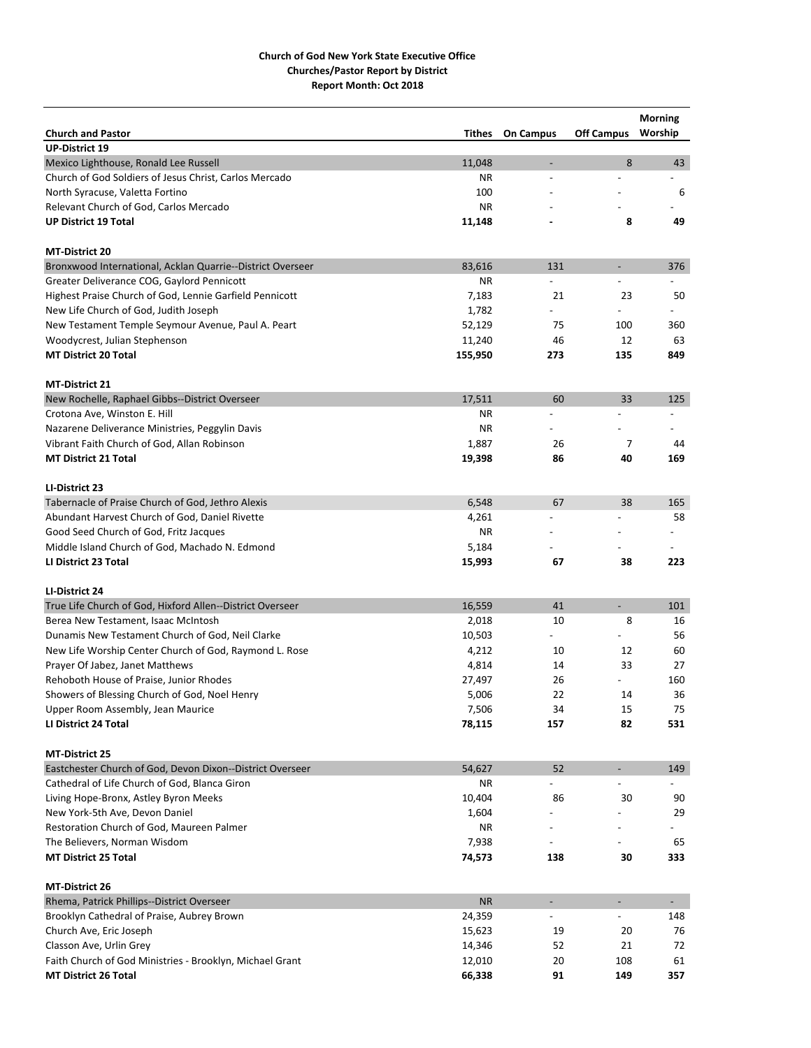|                                                            |               |                          |                          | <b>Morning</b>           |
|------------------------------------------------------------|---------------|--------------------------|--------------------------|--------------------------|
| <b>Church and Pastor</b>                                   | <b>Tithes</b> | <b>On Campus</b>         | <b>Off Campus</b>        | Worship                  |
| <b>UP-District 19</b>                                      |               |                          |                          |                          |
| Mexico Lighthouse, Ronald Lee Russell                      | 11,048        | $\overline{\phantom{a}}$ | 8                        | 43                       |
| Church of God Soldiers of Jesus Christ, Carlos Mercado     | ΝR            |                          |                          | $\overline{\phantom{a}}$ |
| North Syracuse, Valetta Fortino                            | 100           |                          |                          | 6                        |
| Relevant Church of God, Carlos Mercado                     | ΝR            |                          |                          |                          |
| <b>UP District 19 Total</b>                                | 11,148        |                          | 8                        | 49                       |
| <b>MT-District 20</b>                                      |               |                          |                          |                          |
| Bronxwood International, Acklan Quarrie--District Overseer | 83,616        | 131                      | $\overline{\phantom{a}}$ | 376                      |
| Greater Deliverance COG, Gaylord Pennicott                 | ΝR            |                          |                          |                          |
| Highest Praise Church of God, Lennie Garfield Pennicott    | 7,183         | 21                       | 23                       | 50                       |
| New Life Church of God, Judith Joseph                      | 1,782         |                          |                          |                          |
| New Testament Temple Seymour Avenue, Paul A. Peart         | 52,129        | 75                       | 100                      | 360                      |
|                                                            |               | 46                       | 12                       | 63                       |
| Woodycrest, Julian Stephenson                              | 11,240        |                          |                          |                          |
| <b>MT District 20 Total</b>                                | 155,950       | 273                      | 135                      | 849                      |
| MT-District 21                                             |               |                          |                          |                          |
| New Rochelle, Raphael Gibbs--District Overseer             | 17,511        | 60                       | 33                       | 125                      |
| Crotona Ave, Winston E. Hill                               | ΝR            | $\overline{a}$           |                          | $\overline{a}$           |
| Nazarene Deliverance Ministries, Peggylin Davis            | ΝR            |                          |                          |                          |
| Vibrant Faith Church of God, Allan Robinson                | 1,887         | 26                       | 7                        | 44                       |
| <b>MT District 21 Total</b>                                | 19,398        | 86                       | 40                       | 169                      |
| LI-District 23                                             |               |                          |                          |                          |
| Tabernacle of Praise Church of God, Jethro Alexis          | 6,548         | 67                       | 38                       | 165                      |
| Abundant Harvest Church of God, Daniel Rivette             | 4,261         | $\overline{a}$           |                          | 58                       |
| Good Seed Church of God, Fritz Jacques                     | ΝR            |                          |                          |                          |
| Middle Island Church of God, Machado N. Edmond             | 5,184         |                          |                          |                          |
| LI District 23 Total                                       | 15,993        | 67                       | 38                       | 223                      |
|                                                            |               |                          |                          |                          |
| LI-District 24                                             |               |                          |                          |                          |
| True Life Church of God, Hixford Allen--District Overseer  | 16,559        | 41                       | $\overline{\phantom{a}}$ | 101                      |
| Berea New Testament, Isaac McIntosh                        | 2,018         | 10                       | 8                        | 16                       |
| Dunamis New Testament Church of God, Neil Clarke           | 10,503        | $\overline{a}$           |                          | 56                       |
| New Life Worship Center Church of God, Raymond L. Rose     | 4,212         | 10                       | 12                       | 60                       |
| Prayer Of Jabez, Janet Matthews                            | 4,814         | 14                       | 33                       | 27                       |
| Rehoboth House of Praise, Junior Rhodes                    | 27,497        | 26                       |                          | 160                      |
| Showers of Blessing Church of God, Noel Henry              | 5,006         | 22                       | 14                       | 36                       |
| Upper Room Assembly, Jean Maurice                          | 7,506         | 34                       | 15                       | 75                       |
| LI District 24 Total                                       | 78,115        | 157                      | 82                       | 531                      |
| <b>MT-District 25</b>                                      |               |                          |                          |                          |
| Eastchester Church of God, Devon Dixon--District Overseer  | 54,627        | 52                       | $\overline{\phantom{a}}$ | 149                      |
| Cathedral of Life Church of God, Blanca Giron              | ΝR            |                          |                          |                          |
| Living Hope-Bronx, Astley Byron Meeks                      | 10,404        | 86                       | 30                       | 90                       |
| New York-5th Ave, Devon Daniel                             | 1,604         |                          |                          | 29                       |
| Restoration Church of God, Maureen Palmer                  | ΝR            | $\overline{\phantom{a}}$ |                          |                          |
| The Believers, Norman Wisdom                               | 7,938         |                          |                          | 65                       |
| <b>MT District 25 Total</b>                                | 74,573        | 138                      | 30                       | 333                      |
|                                                            |               |                          |                          |                          |
| <b>MT-District 26</b>                                      |               |                          |                          |                          |
| Rhema, Patrick Phillips--District Overseer                 | <b>NR</b>     | $\blacksquare$           | $\overline{\phantom{a}}$ | $\blacksquare$           |
| Brooklyn Cathedral of Praise, Aubrey Brown                 | 24,359        |                          |                          | 148                      |
| Church Ave, Eric Joseph                                    | 15,623        | 19                       | 20                       | 76                       |
| Classon Ave, Urlin Grey                                    | 14,346        | 52                       | 21                       | 72                       |
| Faith Church of God Ministries - Brooklyn, Michael Grant   | 12,010        | 20                       | 108                      | 61                       |
| <b>MT District 26 Total</b>                                | 66,338        | 91                       | 149                      | 357                      |